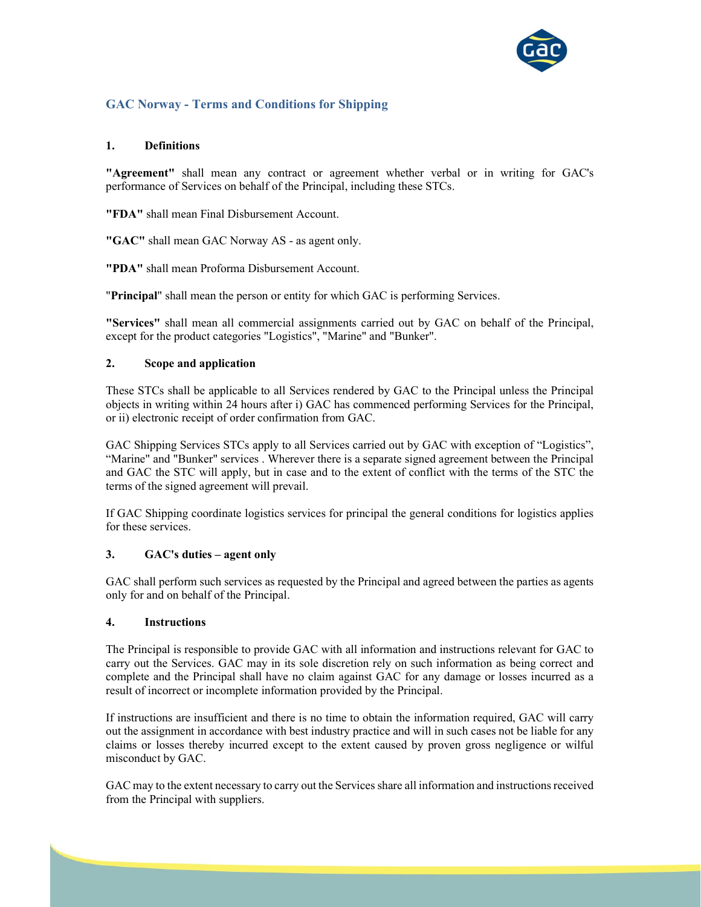

# GAC Norway - Terms and Conditions for Shipping

## 1. Definitions

"Agreement" shall mean any contract or agreement whether verbal or in writing for GAC's performance of Services on behalf of the Principal, including these STCs.

"FDA" shall mean Final Disbursement Account.

"GAC" shall mean GAC Norway AS - as agent only.

"PDA" shall mean Proforma Disbursement Account.

"Principal" shall mean the person or entity for which GAC is performing Services.

"Services" shall mean all commercial assignments carried out by GAC on behalf of the Principal, except for the product categories "Logistics", "Marine" and "Bunker".

## 2. Scope and application

These STCs shall be applicable to all Services rendered by GAC to the Principal unless the Principal objects in writing within 24 hours after i) GAC has commenced performing Services for the Principal, or ii) electronic receipt of order confirmation from GAC.

GAC Shipping Services STCs apply to all Services carried out by GAC with exception of "Logistics", "Marine" and "Bunker" services . Wherever there is a separate signed agreement between the Principal and GAC the STC will apply, but in case and to the extent of conflict with the terms of the STC the terms of the signed agreement will prevail.

If GAC Shipping coordinate logistics services for principal the general conditions for logistics applies for these services.

## 3. GAC's duties – agent only

GAC shall perform such services as requested by the Principal and agreed between the parties as agents only for and on behalf of the Principal.

#### 4. Instructions

The Principal is responsible to provide GAC with all information and instructions relevant for GAC to carry out the Services. GAC may in its sole discretion rely on such information as being correct and complete and the Principal shall have no claim against GAC for any damage or losses incurred as a result of incorrect or incomplete information provided by the Principal.

If instructions are insufficient and there is no time to obtain the information required, GAC will carry out the assignment in accordance with best industry practice and will in such cases not be liable for any claims or losses thereby incurred except to the extent caused by proven gross negligence or wilful misconduct by GAC.

GAC may to the extent necessary to carry out the Services share all information and instructions received from the Principal with suppliers.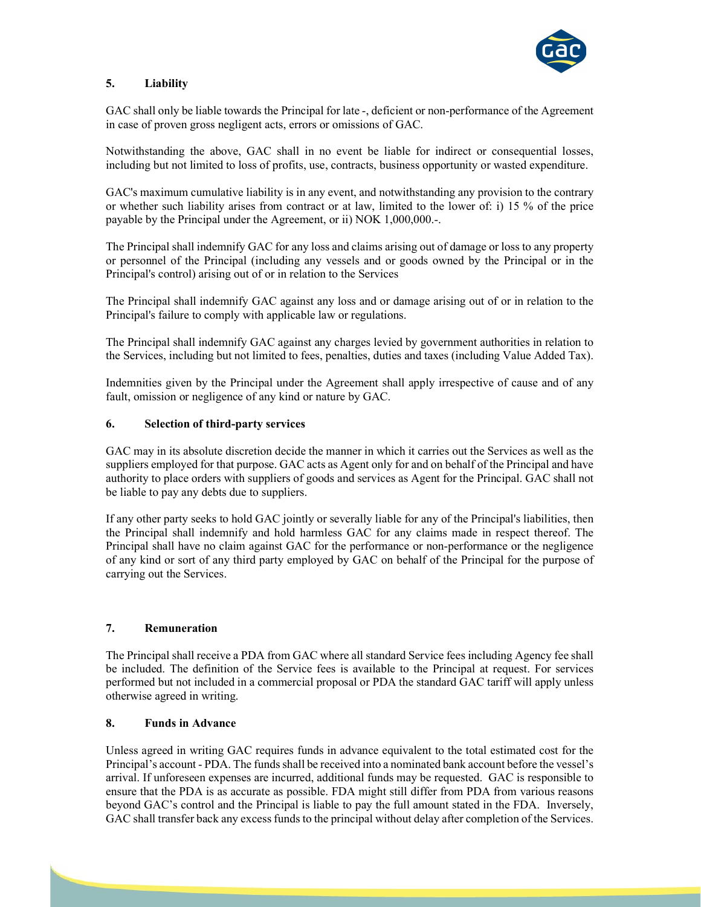

## 5. Liability

GAC shall only be liable towards the Principal for late -, deficient or non-performance of the Agreement in case of proven gross negligent acts, errors or omissions of GAC.

Notwithstanding the above, GAC shall in no event be liable for indirect or consequential losses, including but not limited to loss of profits, use, contracts, business opportunity or wasted expenditure.

GAC's maximum cumulative liability is in any event, and notwithstanding any provision to the contrary or whether such liability arises from contract or at law, limited to the lower of: i) 15 % of the price payable by the Principal under the Agreement, or ii) NOK 1,000,000.-.

The Principal shall indemnify GAC for any loss and claims arising out of damage or loss to any property or personnel of the Principal (including any vessels and or goods owned by the Principal or in the Principal's control) arising out of or in relation to the Services

The Principal shall indemnify GAC against any loss and or damage arising out of or in relation to the Principal's failure to comply with applicable law or regulations.

The Principal shall indemnify GAC against any charges levied by government authorities in relation to the Services, including but not limited to fees, penalties, duties and taxes (including Value Added Tax).

Indemnities given by the Principal under the Agreement shall apply irrespective of cause and of any fault, omission or negligence of any kind or nature by GAC.

## 6. Selection of third-party services

GAC may in its absolute discretion decide the manner in which it carries out the Services as well as the suppliers employed for that purpose. GAC acts as Agent only for and on behalf of the Principal and have authority to place orders with suppliers of goods and services as Agent for the Principal. GAC shall not be liable to pay any debts due to suppliers.

If any other party seeks to hold GAC jointly or severally liable for any of the Principal's liabilities, then the Principal shall indemnify and hold harmless GAC for any claims made in respect thereof. The Principal shall have no claim against GAC for the performance or non-performance or the negligence of any kind or sort of any third party employed by GAC on behalf of the Principal for the purpose of carrying out the Services.

#### 7. Remuneration

The Principal shall receive a PDA from GAC where all standard Service fees including Agency fee shall be included. The definition of the Service fees is available to the Principal at request. For services performed but not included in a commercial proposal or PDA the standard GAC tariff will apply unless otherwise agreed in writing.

#### 8. Funds in Advance

Unless agreed in writing GAC requires funds in advance equivalent to the total estimated cost for the Principal's account - PDA. The funds shall be received into a nominated bank account before the vessel's arrival. If unforeseen expenses are incurred, additional funds may be requested. GAC is responsible to ensure that the PDA is as accurate as possible. FDA might still differ from PDA from various reasons beyond GAC's control and the Principal is liable to pay the full amount stated in the FDA. Inversely, GAC shall transfer back any excess funds to the principal without delay after completion of the Services.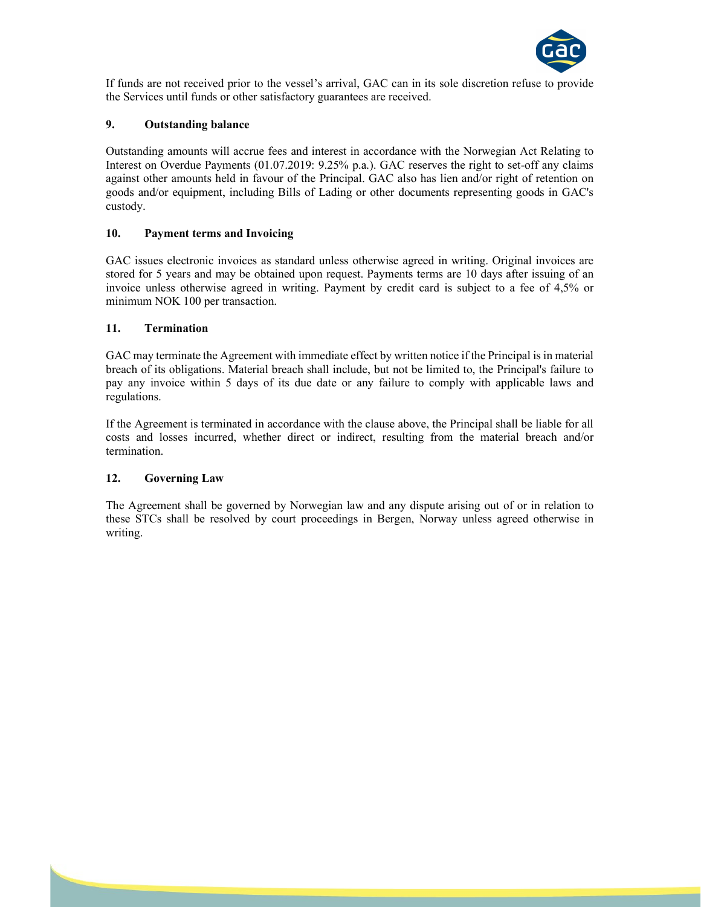

If funds are not received prior to the vessel's arrival, GAC can in its sole discretion refuse to provide the Services until funds or other satisfactory guarantees are received.

## 9. Outstanding balance

Outstanding amounts will accrue fees and interest in accordance with the Norwegian Act Relating to Interest on Overdue Payments (01.07.2019: 9.25% p.a.). GAC reserves the right to set-off any claims against other amounts held in favour of the Principal. GAC also has lien and/or right of retention on goods and/or equipment, including Bills of Lading or other documents representing goods in GAC's custody.

## 10. Payment terms and Invoicing

GAC issues electronic invoices as standard unless otherwise agreed in writing. Original invoices are stored for 5 years and may be obtained upon request. Payments terms are 10 days after issuing of an invoice unless otherwise agreed in writing. Payment by credit card is subject to a fee of 4,5% or minimum NOK 100 per transaction.

## 11. Termination

GAC may terminate the Agreement with immediate effect by written notice if the Principal is in material breach of its obligations. Material breach shall include, but not be limited to, the Principal's failure to pay any invoice within 5 days of its due date or any failure to comply with applicable laws and regulations.

If the Agreement is terminated in accordance with the clause above, the Principal shall be liable for all costs and losses incurred, whether direct or indirect, resulting from the material breach and/or termination.

## 12. Governing Law

The Agreement shall be governed by Norwegian law and any dispute arising out of or in relation to these STCs shall be resolved by court proceedings in Bergen, Norway unless agreed otherwise in writing.